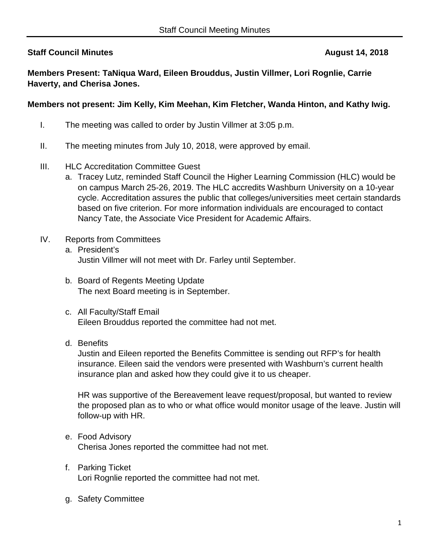## **Staff Council Minutes August 14, 2018**

**Members Present: TaNiqua Ward, Eileen Brouddus, Justin Villmer, Lori Rognlie, Carrie Haverty, and Cherisa Jones.**

## **Members not present: Jim Kelly, Kim Meehan, Kim Fletcher, Wanda Hinton, and Kathy Iwig.**

- I. The meeting was called to order by Justin Villmer at 3:05 p.m.
- II. The meeting minutes from July 10, 2018, were approved by email.
- III. HLC Accreditation Committee Guest
	- a. Tracey Lutz, reminded Staff Council the Higher Learning Commission (HLC) would be on campus March 25-26, 2019. The HLC accredits Washburn University on a 10-year cycle. Accreditation assures the public that colleges/universities meet certain standards based on five criterion. For more information individuals are encouraged to contact Nancy Tate, the Associate Vice President for Academic Affairs.
- IV. Reports from Committees
	- a. President's Justin Villmer will not meet with Dr. Farley until September.
	- b. Board of Regents Meeting Update The next Board meeting is in September.
	- c. All Faculty/Staff Email Eileen Brouddus reported the committee had not met.
	- d. Benefits

Justin and Eileen reported the Benefits Committee is sending out RFP's for health insurance. Eileen said the vendors were presented with Washburn's current health insurance plan and asked how they could give it to us cheaper.

HR was supportive of the Bereavement leave request/proposal, but wanted to review the proposed plan as to who or what office would monitor usage of the leave. Justin will follow-up with HR.

- e. Food Advisory Cherisa Jones reported the committee had not met.
- f. Parking Ticket Lori Rognlie reported the committee had not met.
- g. Safety Committee